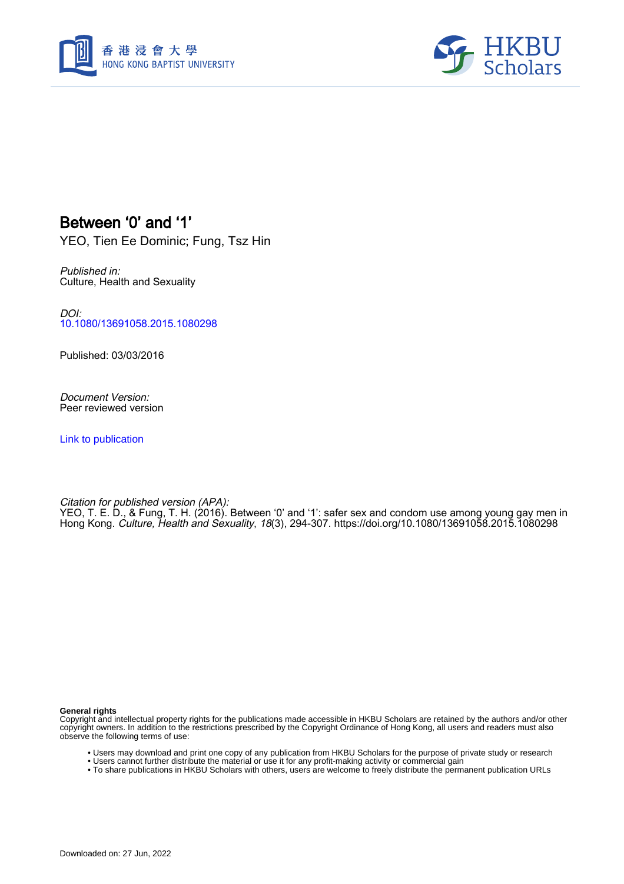



## Between '0' and '1'

YEO, Tien Ee Dominic; Fung, Tsz Hin

Published in: Culture, Health and Sexuality

DOI: [10.1080/13691058.2015.1080298](https://doi.org/10.1080/13691058.2015.1080298)

Published: 03/03/2016

Document Version: Peer reviewed version

[Link to publication](https://scholars.hkbu.edu.hk/en/publications/688a1ef1-dd9b-4930-bfc7-106470b41b52)

Citation for published version (APA): YEO, T. E. D., & Fung, T. H. (2016). Between '0' and '1': safer sex and condom use among young gay men in Hong Kong. Culture, Health and Sexuality, 18(3), 294-307. <https://doi.org/10.1080/13691058.2015.1080298>

#### **General rights**

Copyright and intellectual property rights for the publications made accessible in HKBU Scholars are retained by the authors and/or other copyright owners. In addition to the restrictions prescribed by the Copyright Ordinance of Hong Kong, all users and readers must also observe the following terms of use:

- Users may download and print one copy of any publication from HKBU Scholars for the purpose of private study or research
- Users cannot further distribute the material or use it for any profit-making activity or commercial gain
- To share publications in HKBU Scholars with others, users are welcome to freely distribute the permanent publication URLs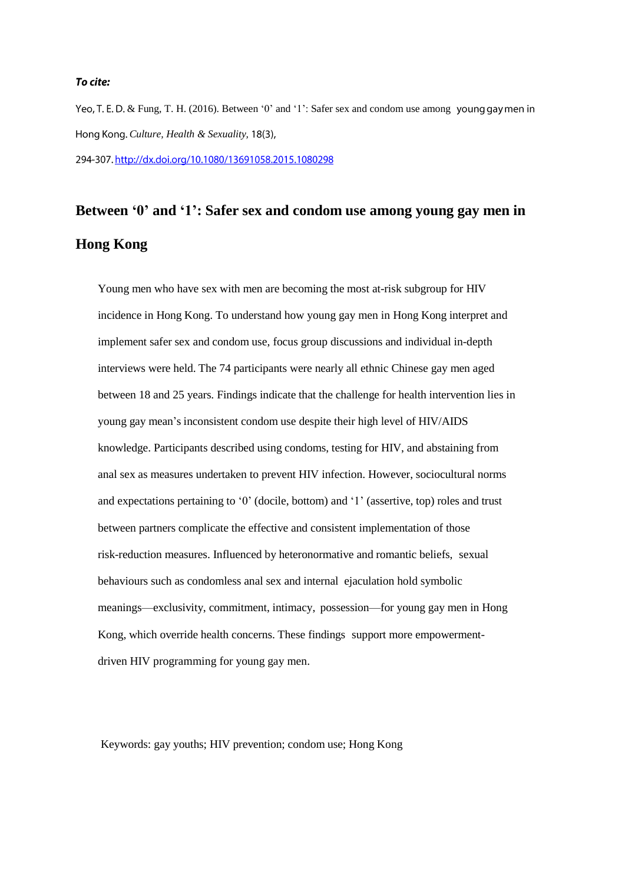#### To cite:

Yeo, T. E. D. & Fung, T. H. (2016). Between '0' and '1': Safer sex and condom use among young gay men in *Culture, Health & Sexuality,* 294-307. http://dx.doi.org/10.1080/13691058.2015.1080298

# **Between '0' and '1': Safer sex and condom use among young gay men in Hong Kong**

Young men who have sex with men are becoming the most at-risk subgroup for HIV incidence in Hong Kong. To understand how young gay men in Hong Kong interpret and implement safer sex and condom use, focus group discussions and individual in-depth interviews were held. The 74 participants were nearly all ethnic Chinese gay men aged between 18 and 25 years. Findings indicate that the challenge for health intervention lies in young gay mean's inconsistent condom use despite their high level of HIV/AIDS knowledge. Participants described using condoms, testing for HIV, and abstaining from anal sex as measures undertaken to prevent HIV infection. However, sociocultural norms and expectations pertaining to '0' (docile, bottom) and '1' (assertive, top) roles and trust between partners complicate the effective and consistent implementation of those risk-reduction measures. Influenced by heteronormative and romantic beliefs, sexual behaviours such as condomless anal sex and internal ejaculation hold symbolic meanings—exclusivity, commitment, intimacy, possession—for young gay men in Hong Kong, which override health concerns. These findings support more empowermentdriven HIV programming for young gay men.

Keywords: gay youths; HIV prevention; condom use; Hong Kong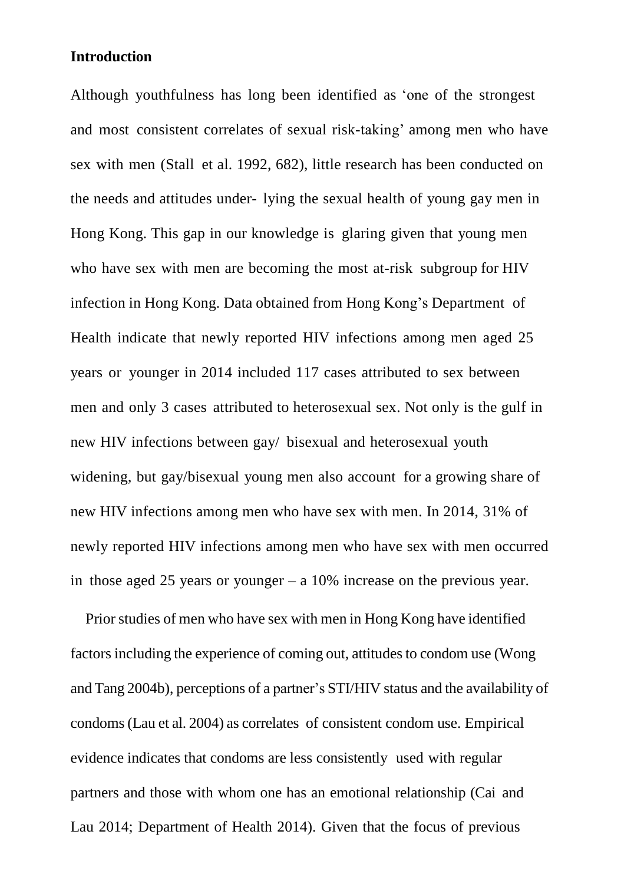#### **Introduction**

Although youthfulness has long been identified as 'one of the strongest and most consistent correlates of sexual risk-taking' among men who have sex with men (Stall et al. 1992, 682), little research has been conducted on the needs and attitudes under- lying the sexual health of young gay men in Hong Kong. This gap in our knowledge is glaring given that young men who have sex with men are becoming the most at-risk subgroup for HIV infection in Hong Kong. Data obtained from Hong Kong's Department of Health indicate that newly reported HIV infections among men aged 25 years or younger in 2014 included 117 cases attributed to sex between men and only 3 cases attributed to heterosexual sex. Not only is the gulf in new HIV infections between gay/ bisexual and heterosexual youth widening, but gay/bisexual young men also account for a growing share of new HIV infections among men who have sex with men. In 2014, 31% of newly reported HIV infections among men who have sex with men occurred in those aged 25 years or younger – a 10% increase on the previous year.

Prior studies of men who have sex with men in Hong Kong have identified factors including the experience of coming out, attitudes to condom use (Wong and Tang 2004b), perceptions of a partner's STI/HIV status and the availability of condoms(Lau et al. 2004) as correlates of consistent condom use. Empirical evidence indicates that condoms are less consistently used with regular partners and those with whom one has an emotional relationship (Cai and Lau 2014; Department of Health 2014). Given that the focus of previous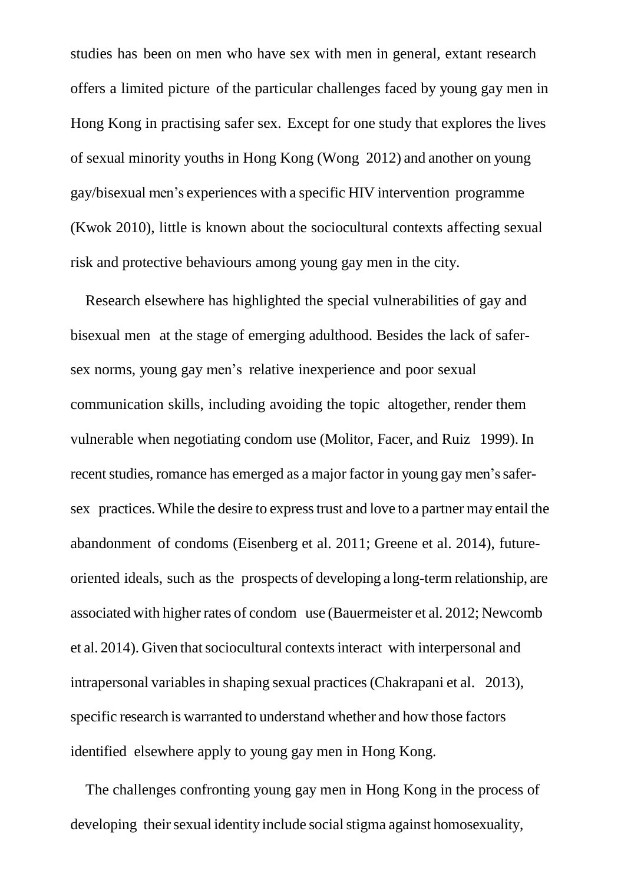studies has been on men who have sex with men in general, extant research offers a limited picture of the particular challenges faced by young gay men in Hong Kong in practising safer sex. Except for one study that explores the lives of sexual minority youths in Hong Kong (Wong 2012) and another on young gay/bisexual men's experiences with a specific HIV intervention programme (Kwok 2010), little is known about the sociocultural contexts affecting sexual risk and protective behaviours among young gay men in the city.

Research elsewhere has highlighted the special vulnerabilities of gay and bisexual men at the stage of emerging adulthood. Besides the lack of safersex norms, young gay men's relative inexperience and poor sexual communication skills, including avoiding the topic altogether, render them vulnerable when negotiating condom use (Molitor, Facer, and Ruiz 1999). In recent studies, romance has emerged as a major factor in young gay men's safersex practices.While the desire to expresstrust and love to a partner may entail the abandonment of condoms (Eisenberg et al. 2011; Greene et al. 2014), futureoriented ideals, such as the prospects of developing a long-term relationship, are associated with higher rates of condom use (Bauermeister et al. 2012; Newcomb et al. 2014). Given that sociocultural contexts interact with interpersonal and intrapersonal variables in shaping sexual practices (Chakrapani et al. 2013), specific research is warranted to understand whether and how those factors identified elsewhere apply to young gay men in Hong Kong.

The challenges confronting young gay men in Hong Kong in the process of developing their sexual identity include social stigma against homosexuality,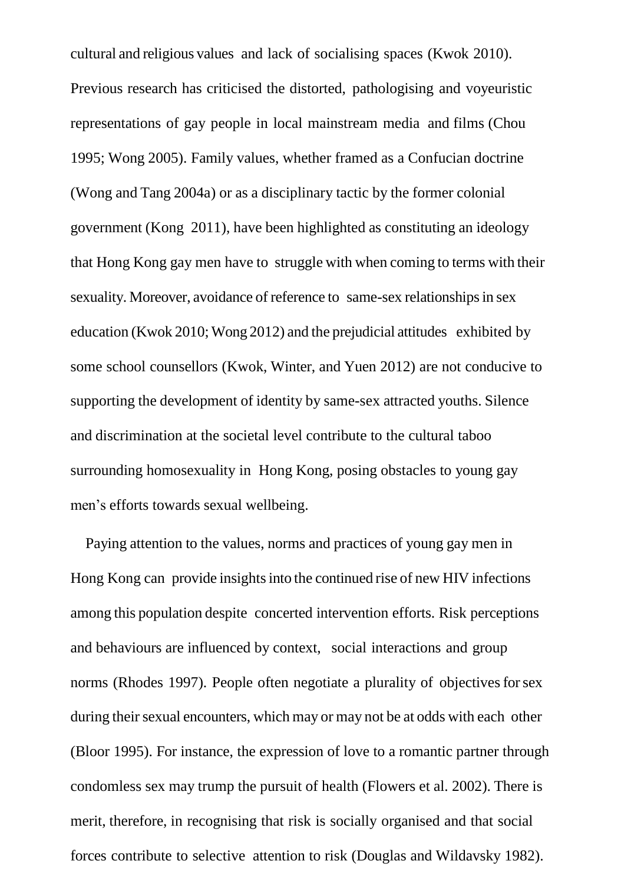cultural and religious values and lack of socialising spaces (Kwok 2010). Previous research has criticised the distorted, pathologising and voyeuristic representations of gay people in local mainstream media and films (Chou 1995; Wong 2005). Family values, whether framed as a Confucian doctrine (Wong and Tang 2004a) or as a disciplinary tactic by the former colonial government (Kong 2011), have been highlighted as constituting an ideology that Hong Kong gay men have to struggle with when coming to terms with their sexuality. Moreover, avoidance of reference to same-sex relationships in sex education (Kwok 2010; Wong 2012) and the prejudicial attitudes exhibited by some school counsellors (Kwok, Winter, and Yuen 2012) are not conducive to supporting the development of identity by same-sex attracted youths. Silence and discrimination at the societal level contribute to the cultural taboo surrounding homosexuality in Hong Kong, posing obstacles to young gay men's efforts towards sexual wellbeing.

Paying attention to the values, norms and practices of young gay men in Hong Kong can provide insights into the continued rise of new HIV infections among this population despite concerted intervention efforts. Risk perceptions and behaviours are influenced by context, social interactions and group norms (Rhodes 1997). People often negotiate a plurality of objectives for sex during their sexual encounters, which may or may not be at odds with each other (Bloor 1995). For instance, the expression of love to a romantic partner through condomless sex may trump the pursuit of health (Flowers et al. 2002). There is merit, therefore, in recognising that risk is socially organised and that social forces contribute to selective attention to risk (Douglas and Wildavsky 1982).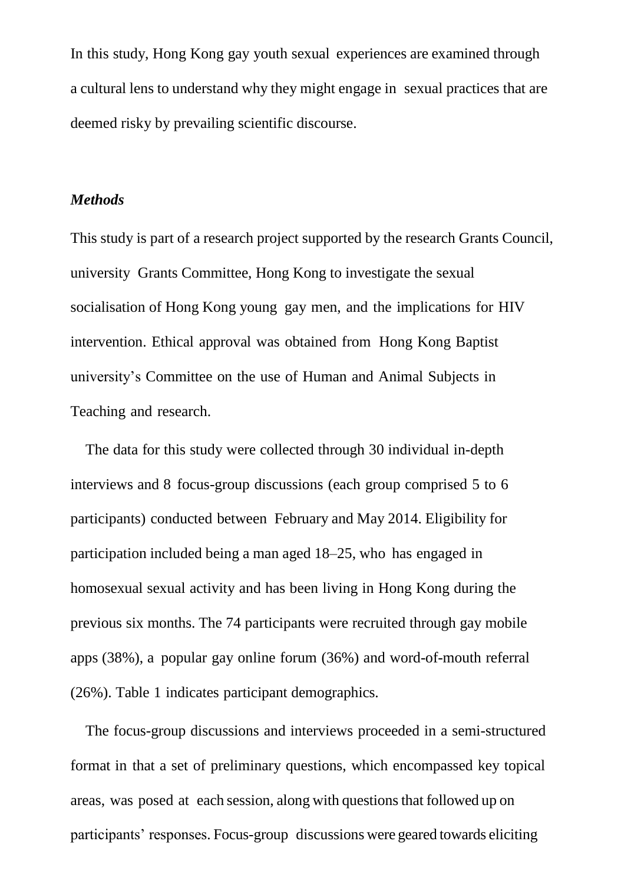In this study, Hong Kong gay youth sexual experiences are examined through a cultural lens to understand why they might engage in sexual practices that are deemed risky by prevailing scientific discourse.

#### *Methods*

This study is part of a research project supported by the research Grants Council, university Grants Committee, Hong Kong to investigate the sexual socialisation of Hong Kong young gay men, and the implications for HIV intervention. Ethical approval was obtained from Hong Kong Baptist university's Committee on the use of Human and Animal Subjects in Teaching and research.

The data for this study were collected through 30 individual in-depth interviews and 8 focus-group discussions (each group comprised 5 to 6 participants) conducted between February and May 2014. Eligibility for participation included being a man aged 18–25, who has engaged in homosexual sexual activity and has been living in Hong Kong during the previous six months. The 74 participants were recruited through gay mobile apps (38%), a popular gay online forum (36%) and word-of-mouth referral (26%). Table 1 indicates participant demographics.

The focus-group discussions and interviews proceeded in a semi-structured format in that a set of preliminary questions, which encompassed key topical areas, was posed at each session, along with questionsthat followed up on participants' responses. Focus-group discussions were geared towards eliciting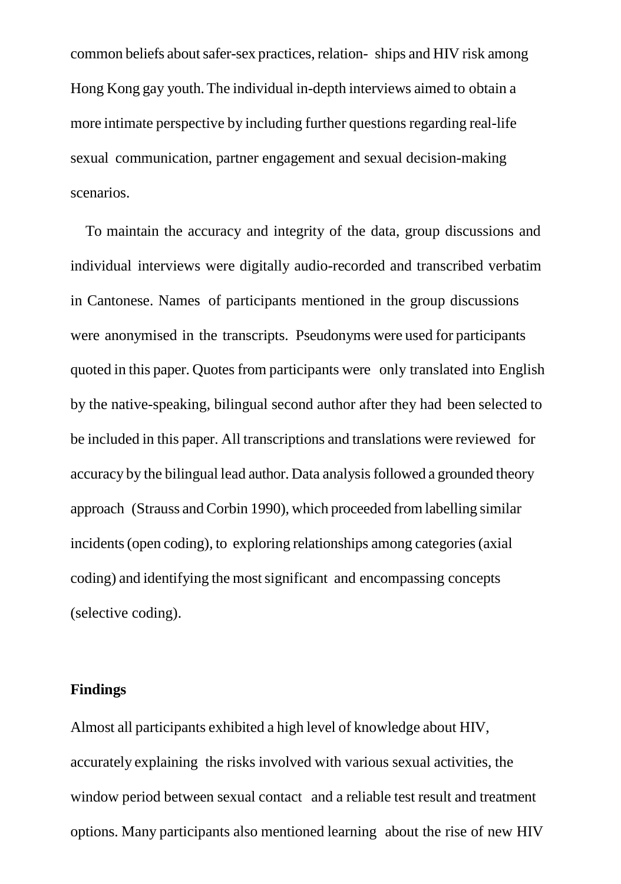common beliefs aboutsafer-sex practices, relation- ships and HIV risk among Hong Kong gay youth.The individual in-depth interviews aimed to obtain a more intimate perspective by including further questions regarding real-life sexual communication, partner engagement and sexual decision-making scenarios.

To maintain the accuracy and integrity of the data, group discussions and individual interviews were digitally audio-recorded and transcribed verbatim in Cantonese. Names of participants mentioned in the group discussions were anonymised in the transcripts. Pseudonyms were used for participants quoted in this paper. Quotesfrom participants were only translated into English by the native-speaking, bilingual second author after they had been selected to be included in this paper. All transcriptions and translations were reviewed for accuracy by the bilingual lead author. Data analysis followed a grounded theory approach (Strauss and Corbin 1990), which proceeded from labelling similar incidents (open coding), to exploring relationships among categories (axial coding) and identifying the mostsignificant and encompassing concepts (selective coding).

#### **Findings**

Almost all participants exhibited a high level of knowledge about HIV, accurately explaining the risks involved with various sexual activities, the window period between sexual contact and a reliable test result and treatment options. Many participants also mentioned learning about the rise of new HIV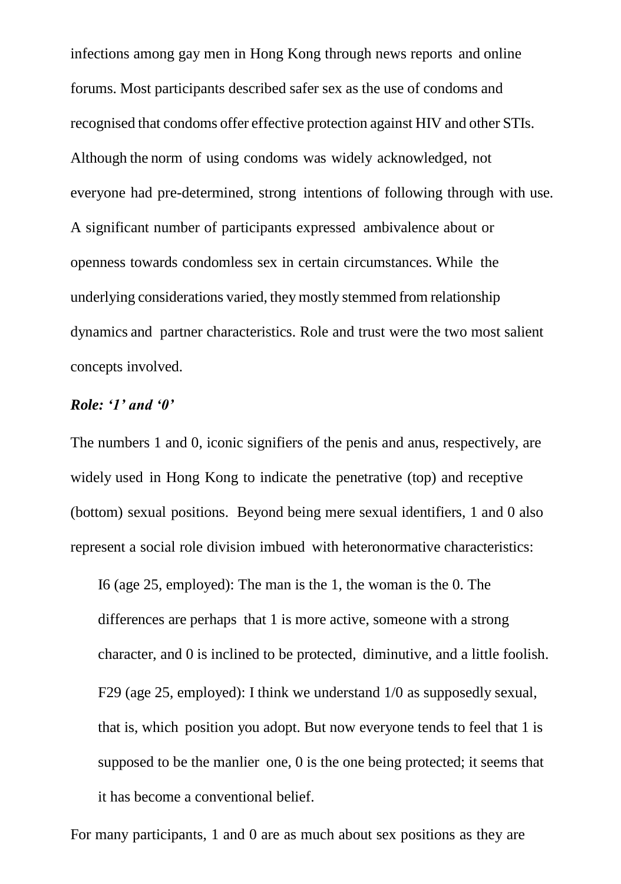infections among gay men in Hong Kong through news reports and online forums. Most participants described safer sex as the use of condoms and recognised that condoms offer effective protection against HIV and other STIs. Although the norm of using condoms was widely acknowledged, not everyone had pre-determined, strong intentions of following through with use. A significant number of participants expressed ambivalence about or openness towards condomless sex in certain circumstances. While the underlying considerations varied, they mostly stemmed from relationship dynamics and partner characteristics. Role and trust were the two most salient concepts involved.

#### *Role: '1' and '0'*

The numbers 1 and 0, iconic signifiers of the penis and anus, respectively, are widely used in Hong Kong to indicate the penetrative (top) and receptive (bottom) sexual positions. Beyond being mere sexual identifiers, 1 and 0 also represent a social role division imbued with heteronormative characteristics:

I6 (age 25, employed): The man is the 1, the woman is the 0. The differences are perhaps that 1 is more active, someone with a strong character, and 0 is inclined to be protected, diminutive, and a little foolish. F29 (age 25, employed): I think we understand 1/0 as supposedly sexual, that is, which position you adopt. But now everyone tends to feel that 1 is supposed to be the manlier one, 0 is the one being protected; it seems that it has become a conventional belief.

For many participants, 1 and 0 are as much about sex positions as they are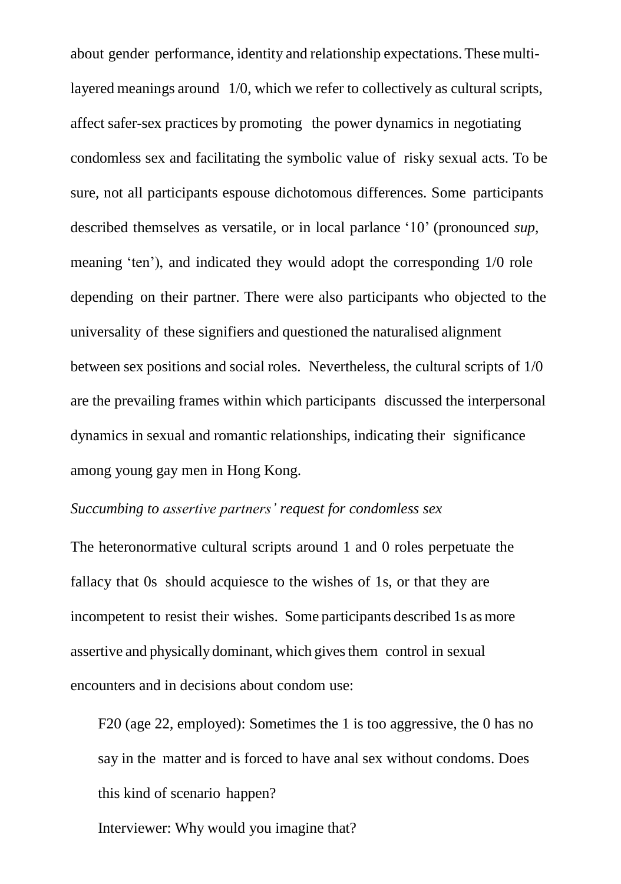about gender performance, identity and relationship expectations.These multilayered meanings around 1/0, which we refer to collectively as cultural scripts, affect safer-sex practices by promoting the power dynamics in negotiating condomless sex and facilitating the symbolic value of risky sexual acts. To be sure, not all participants espouse dichotomous differences. Some participants described themselves as versatile, or in local parlance '10' (pronounced *sup*, meaning 'ten'), and indicated they would adopt the corresponding 1/0 role depending on their partner. There were also participants who objected to the universality of these signifiers and questioned the naturalised alignment between sex positions and social roles. Nevertheless, the cultural scripts of 1/0 are the prevailing frames within which participants discussed the interpersonal dynamics in sexual and romantic relationships, indicating their significance among young gay men in Hong Kong.

#### *Succumbing to assertive partners' request for condomless sex*

The heteronormative cultural scripts around 1 and 0 roles perpetuate the fallacy that 0s should acquiesce to the wishes of 1s, or that they are incompetent to resist their wishes. Some participants described 1s as more assertive and physically dominant, which gives them control in sexual encounters and in decisions about condom use:

F20 (age 22, employed): Sometimes the 1 is too aggressive, the 0 has no say in the matter and is forced to have anal sex without condoms. Does this kind of scenario happen?

Interviewer: Why would you imagine that?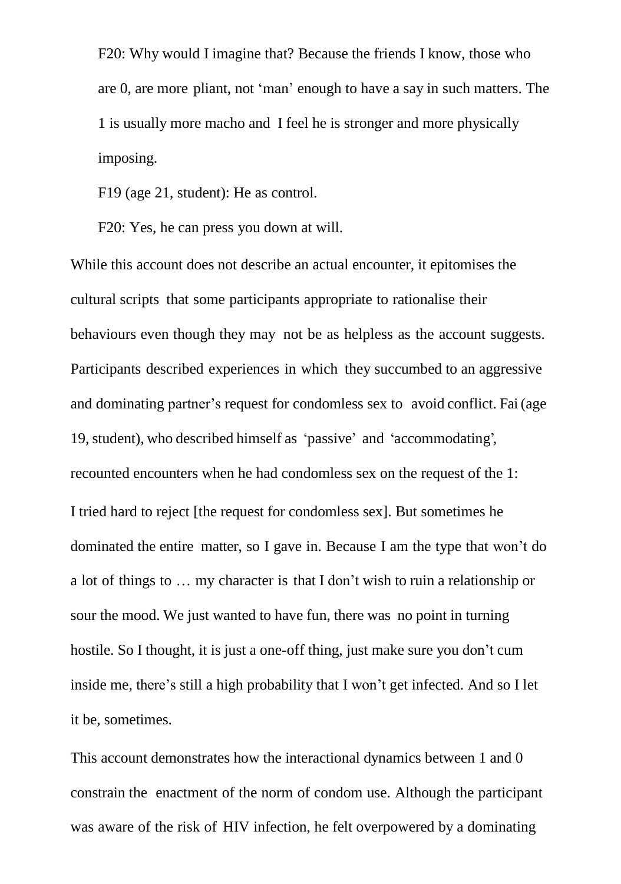F20: Why would I imagine that? Because the friends I know, those who are 0, are more pliant, not 'man' enough to have a say in such matters. The 1 is usually more macho and I feel he is stronger and more physically imposing.

F19 (age 21, student): He as control.

F20: Yes, he can press you down at will.

While this account does not describe an actual encounter, it epitomises the cultural scripts that some participants appropriate to rationalise their behaviours even though they may not be as helpless as the account suggests. Participants described experiences in which they succumbed to an aggressive and dominating partner's request for condomless sex to avoid conflict. Fai (age 19,student), who described himself as 'passive' and 'accommodating', recounted encounters when he had condomless sex on the request of the 1: I tried hard to reject [the request for condomless sex]. But sometimes he dominated the entire matter, so I gave in. Because I am the type that won't do a lot of things to … my character is that I don't wish to ruin a relationship or sour the mood. We just wanted to have fun, there was no point in turning hostile. So I thought, it is just a one-off thing, just make sure you don't cum inside me, there's still a high probability that I won't get infected. And so I let it be, sometimes.

This account demonstrates how the interactional dynamics between 1 and 0 constrain the enactment of the norm of condom use. Although the participant was aware of the risk of HIV infection, he felt overpowered by a dominating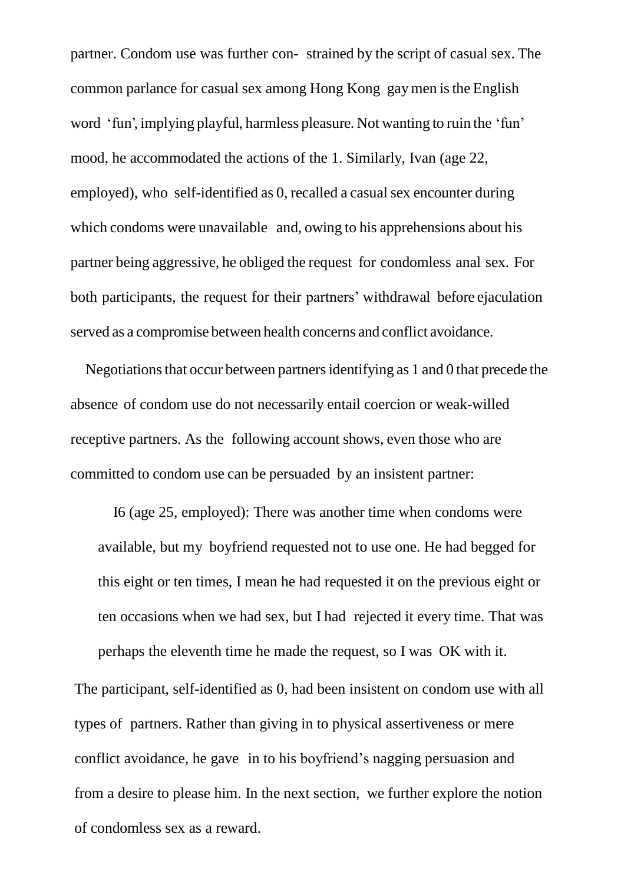partner. Condom use was further con- strained by the script of casual sex. The common parlance for casual sex among Hong Kong gaymen isthe English word 'fun', implying playful, harmless pleasure. Not wanting to ruin the 'fun' mood, he accommodated the actions of the 1. Similarly, Ivan (age 22, employed), who self-identified as 0, recalled a casual sex encounter during which condoms were unavailable and, owing to his apprehensions about his partner being aggressive, he obliged the request for condomless anal sex. For both participants, the request for their partners' withdrawal before ejaculation served as a compromise between health concerns and conflict avoidance.

Negotiations that occur between partners identifying as 1 and 0 that precede the absence of condom use do not necessarily entail coercion or weak-willed receptive partners. As the following account shows, even those who are committed to condom use can be persuaded by an insistent partner:

I6 (age 25, employed): There was another time when condoms were available, but my boyfriend requested not to use one. He had begged for this eight or ten times, I mean he had requested it on the previous eight or ten occasions when we had sex, but I had rejected it every time. That was perhaps the eleventh time he made the request, so I was OK with it.

The participant, self-identified as 0, had been insistent on condom use with all types of partners. Rather than giving in to physical assertiveness or mere conflict avoidance, he gave in to his boyfriend's nagging persuasion and from a desire to please him. In the next section, we further explore the notion of condomless sex as a reward.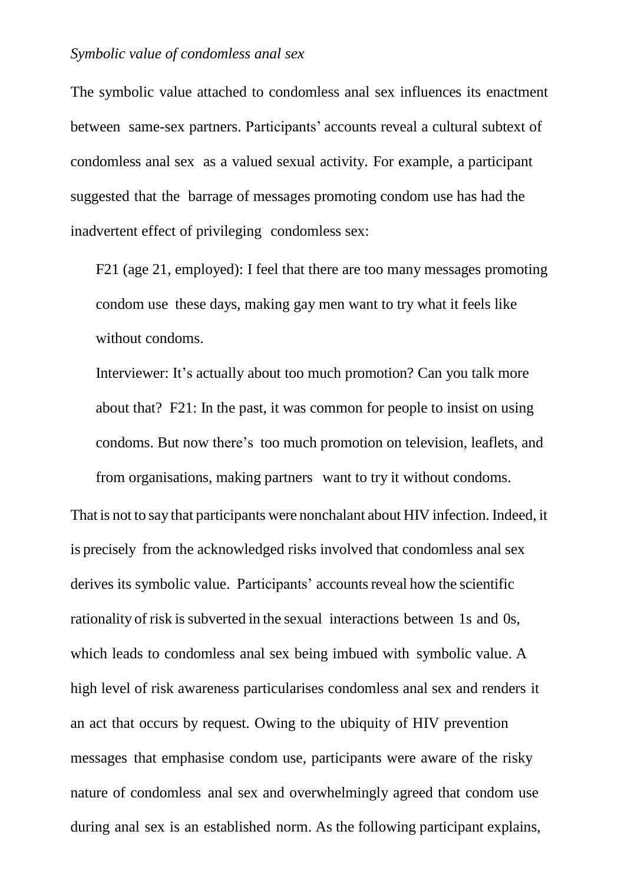The symbolic value attached to condomless anal sex influences its enactment between same-sex partners. Participants' accounts reveal a cultural subtext of condomless anal sex as a valued sexual activity. For example, a participant suggested that the barrage of messages promoting condom use has had the inadvertent effect of privileging condomless sex:

F21 (age 21, employed): I feel that there are too many messages promoting condom use these days, making gay men want to try what it feels like without condoms.

Interviewer: It's actually about too much promotion? Can you talk more about that? F21: In the past, it was common for people to insist on using condoms. But now there's too much promotion on television, leaflets, and from organisations, making partners want to try it without condoms.

That is not to say that participants were nonchalant about HIV infection. Indeed, it is precisely from the acknowledged risks involved that condomless anal sex derives its symbolic value. Participants' accounts reveal how the scientific rationality of risk is subverted in the sexual interactions between 1s and 0s, which leads to condomless anal sex being imbued with symbolic value. A high level of risk awareness particularises condomless anal sex and renders it an act that occurs by request. Owing to the ubiquity of HIV prevention messages that emphasise condom use, participants were aware of the risky nature of condomless anal sex and overwhelmingly agreed that condom use during anal sex is an established norm. As the following participant explains,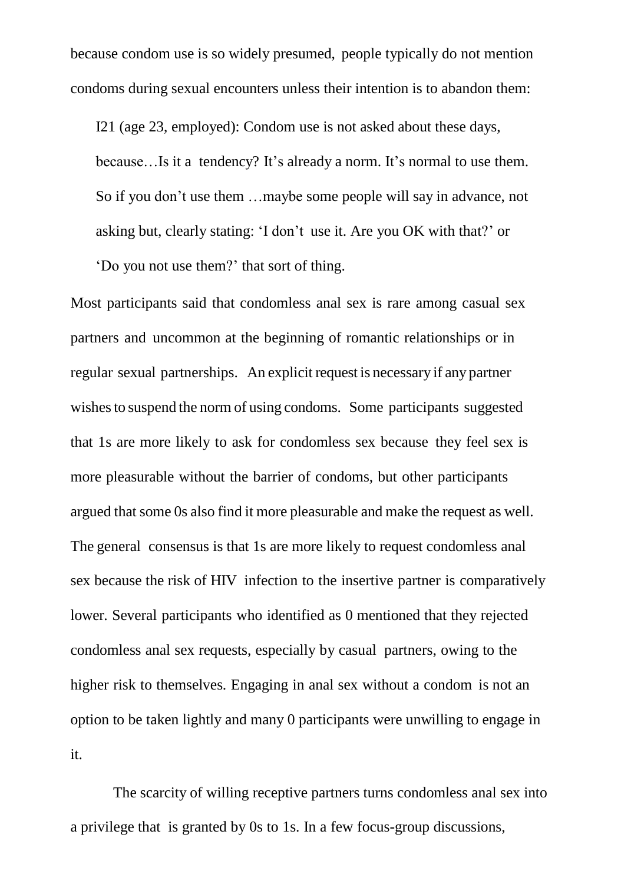because condom use is so widely presumed, people typically do not mention condoms during sexual encounters unless their intention is to abandon them:

I21 (age 23, employed): Condom use is not asked about these days, because…Is it a tendency? It's already a norm. It's normal to use them. So if you don't use them …maybe some people will say in advance, not asking but, clearly stating: 'I don't use it. Are you OK with that?' or 'Do you not use them?' that sort of thing.

Most participants said that condomless anal sex is rare among casual sex partners and uncommon at the beginning of romantic relationships or in regular sexual partnerships. An explicit request is necessary if any partner wishes to suspend the norm of using condoms. Some participants suggested that 1s are more likely to ask for condomless sex because they feel sex is more pleasurable without the barrier of condoms, but other participants argued that some 0s also find it more pleasurable and make the request as well. The general consensus is that 1s are more likely to request condomless anal sex because the risk of HIV infection to the insertive partner is comparatively lower. Several participants who identified as 0 mentioned that they rejected condomless anal sex requests, especially by casual partners, owing to the higher risk to themselves. Engaging in anal sex without a condom is not an option to be taken lightly and many 0 participants were unwilling to engage in it.

The scarcity of willing receptive partners turns condomless anal sex into a privilege that is granted by 0s to 1s. In a few focus-group discussions,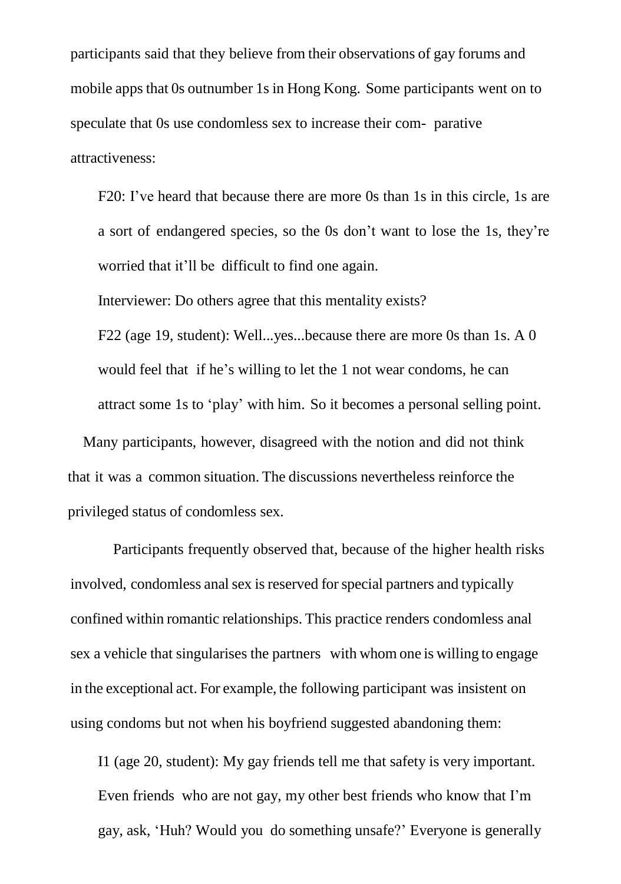participants said that they believe from their observations of gay forums and mobile apps that 0s outnumber 1s in Hong Kong. Some participants went on to speculate that 0s use condomless sex to increase their com- parative attractiveness:

F20: I've heard that because there are more 0s than 1s in this circle, 1s are a sort of endangered species, so the 0s don't want to lose the 1s, they're worried that it'll be difficult to find one again.

Interviewer: Do others agree that this mentality exists?

F22 (age 19, student): Well...yes...because there are more 0s than 1s. A 0 would feel that if he's willing to let the 1 not wear condoms, he can attract some 1s to 'play' with him. So it becomes a personal selling point.

Many participants, however, disagreed with the notion and did not think that it was a common situation. The discussions nevertheless reinforce the privileged status of condomless sex.

Participants frequently observed that, because of the higher health risks involved, condomless anal sex is reserved for special partners and typically confined within romantic relationships. This practice renders condomless anal sex a vehicle that singularises the partners with whom one is willing to engage in the exceptional act. For example, the following participant was insistent on using condoms but not when his boyfriend suggested abandoning them:

I1 (age 20, student): My gay friends tell me that safety is very important. Even friends who are not gay, my other best friends who know that I'm gay, ask, 'Huh? Would you do something unsafe?' Everyone is generally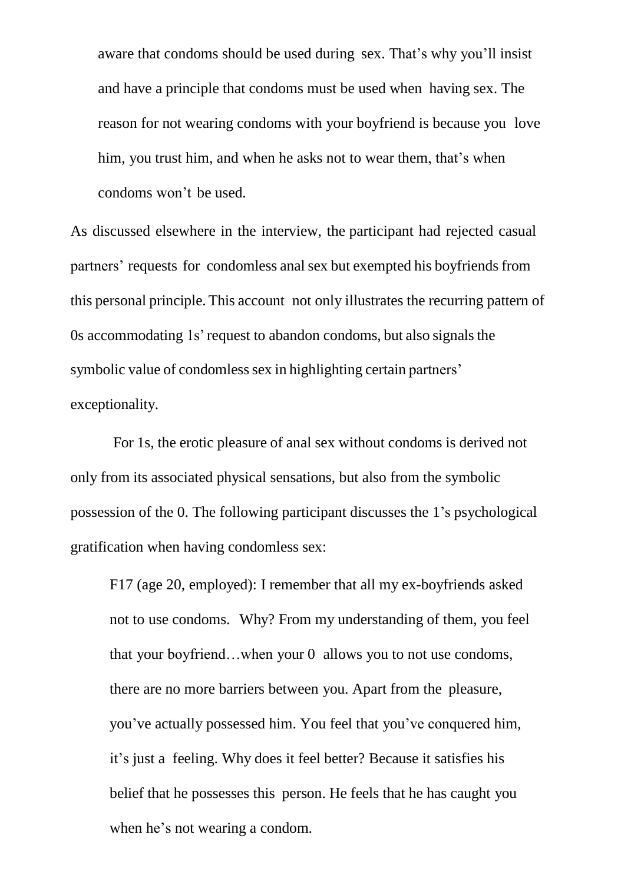aware that condoms should be used during sex. That's why you'll insist and have a principle that condoms must be used when having sex. The reason for not wearing condoms with your boyfriend is because you love him, you trust him, and when he asks not to wear them, that's when condoms won't be used.

As discussed elsewhere in the interview, the participant had rejected casual partners' requests for condomless anal sex but exempted his boyfriends from this personal principle. This account not only illustrates the recurring pattern of 0s accommodating 1s' request to abandon condoms, but also signals the symbolic value of condomless sex in highlighting certain partners' exceptionality.

For 1s, the erotic pleasure of anal sex without condoms is derived not only from its associated physical sensations, but also from the symbolic possession of the 0. The following participant discusses the 1's psychological gratification when having condomless sex:

F17 (age 20, employed): I remember that all my ex-boyfriends asked not to use condoms. Why? From my understanding of them, you feel that your boyfriend…when your 0 allows you to not use condoms, there are no more barriers between you. Apart from the pleasure, you've actually possessed him. You feel that you've conquered him, it's just a feeling. Why does it feel better? Because it satisfies his belief that he possesses this person. He feels that he has caught you when he's not wearing a condom.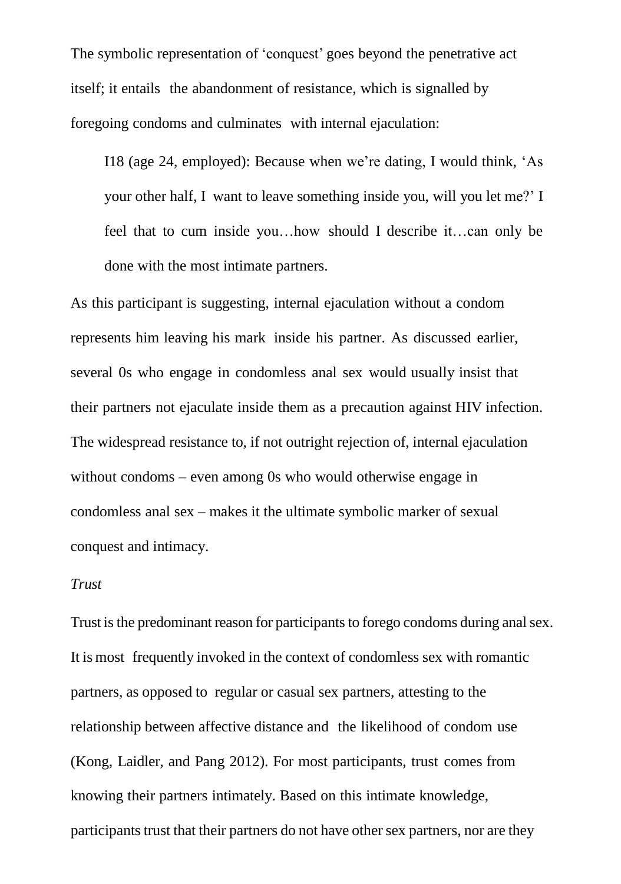The symbolic representation of 'conquest' goes beyond the penetrative act itself; it entails the abandonment of resistance, which is signalled by foregoing condoms and culminates with internal ejaculation:

I18 (age 24, employed): Because when we're dating, I would think, 'As your other half, I want to leave something inside you, will you let me?' I feel that to cum inside you…how should I describe it…can only be done with the most intimate partners.

As this participant is suggesting, internal ejaculation without a condom represents him leaving his mark inside his partner. As discussed earlier, several 0s who engage in condomless anal sex would usually insist that their partners not ejaculate inside them as a precaution against HIV infection. The widespread resistance to, if not outright rejection of, internal ejaculation without condoms – even among 0s who would otherwise engage in condomless anal sex – makes it the ultimate symbolic marker of sexual conquest and intimacy.

#### *Trust*

Trust is the predominant reason for participants to forego condoms during anal sex. It is most frequently invoked in the context of condomless sex with romantic partners, as opposed to regular or casual sex partners, attesting to the relationship between affective distance and the likelihood of condom use (Kong, Laidler, and Pang 2012). For most participants, trust comes from knowing their partners intimately. Based on this intimate knowledge, participants trust that their partners do not have other sex partners, nor are they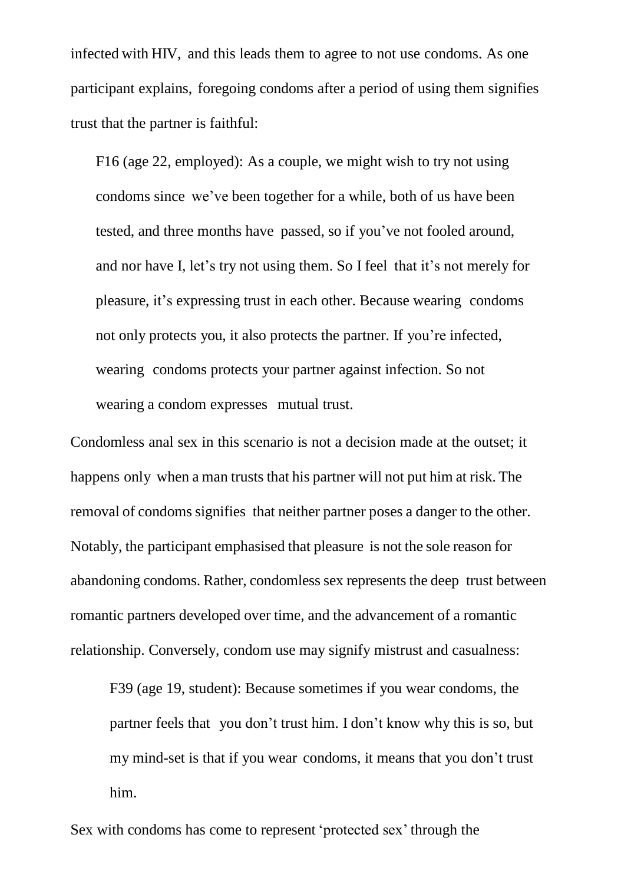infected with HIV, and this leads them to agree to not use condoms. As one participant explains, foregoing condoms after a period of using them signifies trust that the partner is faithful:

F16 (age 22, employed): As a couple, we might wish to try not using condoms since we've been together for a while, both of us have been tested, and three months have passed, so if you've not fooled around, and nor have I, let's try not using them. So I feel that it's not merely for pleasure, it's expressing trust in each other. Because wearing condoms not only protects you, it also protects the partner. If you're infected, wearing condoms protects your partner against infection. So not wearing a condom expresses mutual trust.

Condomless anal sex in this scenario is not a decision made at the outset; it happens only when a man trusts that his partner will not put him at risk. The removal of condoms signifies that neither partner poses a danger to the other. Notably, the participant emphasised that pleasure is not the sole reason for abandoning condoms. Rather, condomless sex represents the deep trust between romantic partners developed over time, and the advancement of a romantic relationship. Conversely, condom use may signify mistrust and casualness:

F39 (age 19, student): Because sometimes if you wear condoms, the partner feels that you don't trust him. I don't know why this is so, but my mind-set is that if you wear condoms, it means that you don't trust him.

Sex with condoms has come to represent 'protected sex' through the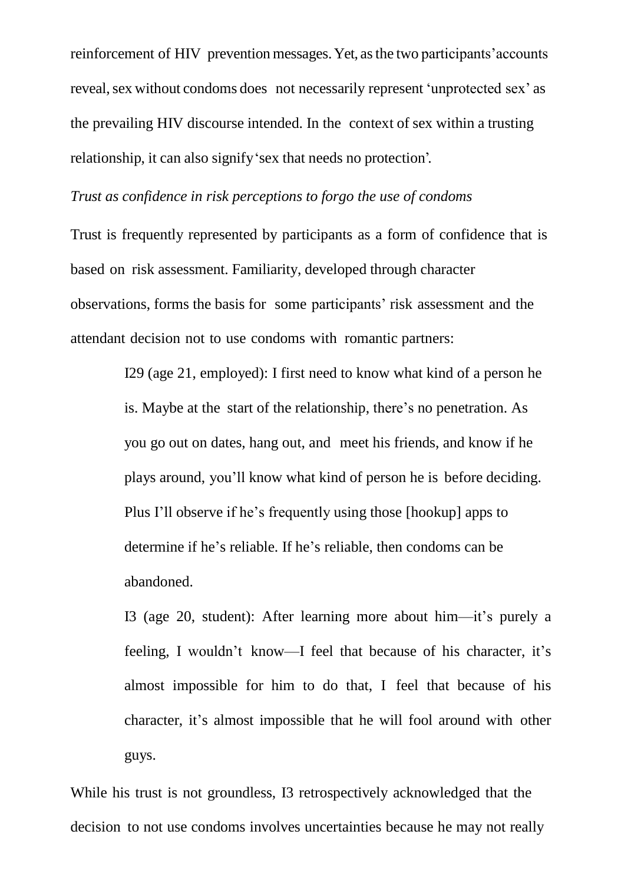reinforcement of HIV prevention messages.Yet, asthe two participants'accounts reveal, sex without condoms does not necessarily represent 'unprotected sex' as the prevailing HIV discourse intended. In the context of sex within a trusting relationship, it can also signify'sex that needs no protection'.

#### *Trust as confidence in risk perceptions to forgo the use of condoms*

Trust is frequently represented by participants as a form of confidence that is based on risk assessment. Familiarity, developed through character observations, forms the basis for some participants' risk assessment and the attendant decision not to use condoms with romantic partners:

> I29 (age 21, employed): I first need to know what kind of a person he is. Maybe at the start of the relationship, there's no penetration. As you go out on dates, hang out, and meet his friends, and know if he plays around, you'll know what kind of person he is before deciding. Plus I'll observe if he's frequently using those [hookup] apps to determine if he's reliable. If he's reliable, then condoms can be abandoned.

I3 (age 20, student): After learning more about him—it's purely a feeling, I wouldn't know—I feel that because of his character, it's almost impossible for him to do that, I feel that because of his character, it's almost impossible that he will fool around with other guys.

While his trust is not groundless, I3 retrospectively acknowledged that the decision to not use condoms involves uncertainties because he may not really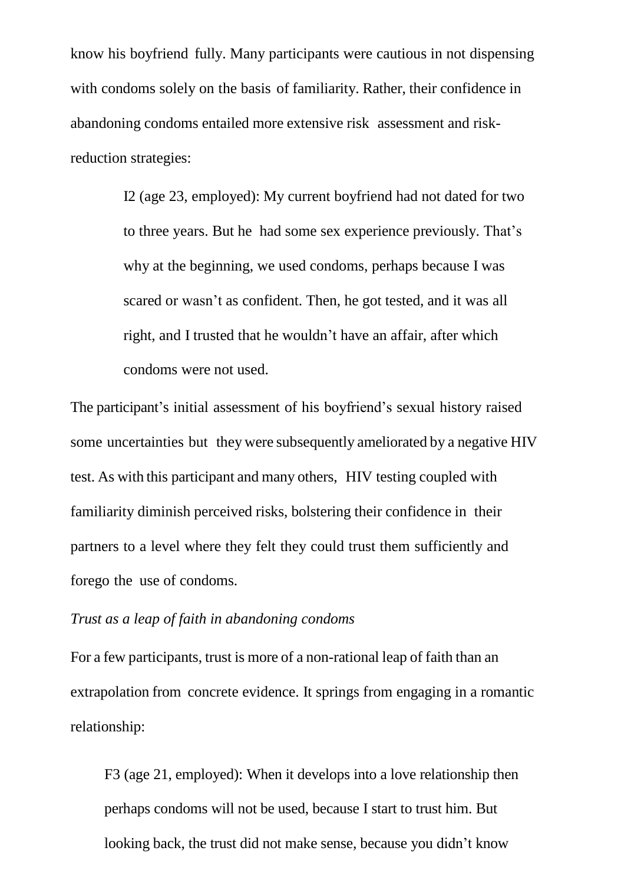know his boyfriend fully. Many participants were cautious in not dispensing with condoms solely on the basis of familiarity. Rather, their confidence in abandoning condoms entailed more extensive risk assessment and riskreduction strategies:

> I2 (age 23, employed): My current boyfriend had not dated for two to three years. But he had some sex experience previously. That's why at the beginning, we used condoms, perhaps because I was scared or wasn't as confident. Then, he got tested, and it was all right, and I trusted that he wouldn't have an affair, after which condoms were not used.

The participant's initial assessment of his boyfriend's sexual history raised some uncertainties but they were subsequently ameliorated by a negative HIV test. As with this participant and many others, HIV testing coupled with familiarity diminish perceived risks, bolstering their confidence in their partners to a level where they felt they could trust them sufficiently and forego the use of condoms.

#### *Trust as a leap of faith in abandoning condoms*

For a few participants, trust is more of a non-rational leap of faith than an extrapolation from concrete evidence. It springs from engaging in a romantic relationship:

F3 (age 21, employed): When it develops into a love relationship then perhaps condoms will not be used, because I start to trust him. But looking back, the trust did not make sense, because you didn't know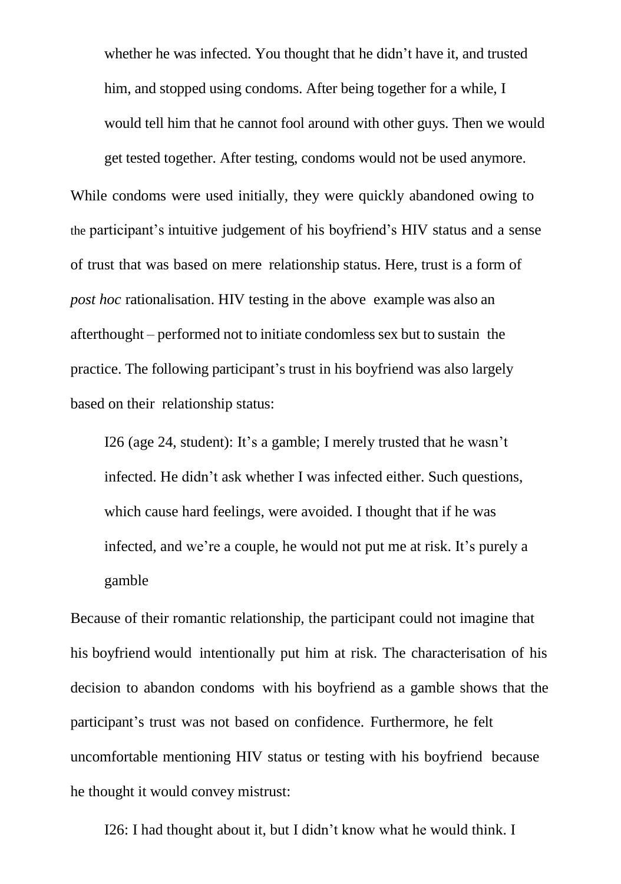whether he was infected. You thought that he didn't have it, and trusted him, and stopped using condoms. After being together for a while, I would tell him that he cannot fool around with other guys. Then we would get tested together. After testing, condoms would not be used anymore.

While condoms were used initially, they were quickly abandoned owing to the participant's intuitive judgement of his boyfriend's HIV status and a sense of trust that was based on mere relationship status. Here, trust is a form of *post hoc* rationalisation. HIV testing in the above example was also an afterthought – performed not to initiate condomless sex but to sustain the practice. The following participant's trust in his boyfriend was also largely based on their relationship status:

I26 (age 24, student): It's a gamble; I merely trusted that he wasn't infected. He didn't ask whether I was infected either. Such questions, which cause hard feelings, were avoided. I thought that if he was infected, and we're a couple, he would not put me at risk. It's purely a gamble

Because of their romantic relationship, the participant could not imagine that his boyfriend would intentionally put him at risk. The characterisation of his decision to abandon condoms with his boyfriend as a gamble shows that the participant's trust was not based on confidence. Furthermore, he felt uncomfortable mentioning HIV status or testing with his boyfriend because he thought it would convey mistrust:

I26: I had thought about it, but I didn't know what he would think. I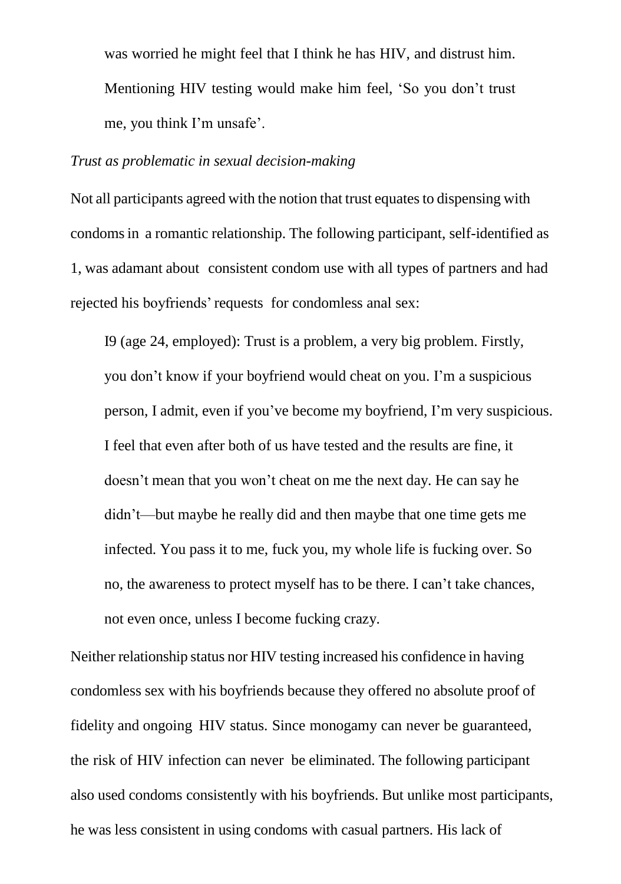was worried he might feel that I think he has HIV, and distrust him. Mentioning HIV testing would make him feel, 'So you don't trust me, you think I'm unsafe'.

#### *Trust as problematic in sexual decision-making*

Not all participants agreed with the notion that trust equates to dispensing with condomsin a romantic relationship. The following participant, self-identified as 1, was adamant about consistent condom use with all types of partners and had rejected his boyfriends' requests for condomless anal sex:

I9 (age 24, employed): Trust is a problem, a very big problem. Firstly, you don't know if your boyfriend would cheat on you. I'm a suspicious person, I admit, even if you've become my boyfriend, I'm very suspicious. I feel that even after both of us have tested and the results are fine, it doesn't mean that you won't cheat on me the next day. He can say he didn't—but maybe he really did and then maybe that one time gets me infected. You pass it to me, fuck you, my whole life is fucking over. So no, the awareness to protect myself has to be there. I can't take chances, not even once, unless I become fucking crazy.

Neither relationship status nor HIV testing increased his confidence in having condomless sex with his boyfriends because they offered no absolute proof of fidelity and ongoing HIV status. Since monogamy can never be guaranteed, the risk of HIV infection can never be eliminated. The following participant also used condoms consistently with his boyfriends. But unlike most participants, he was less consistent in using condoms with casual partners. His lack of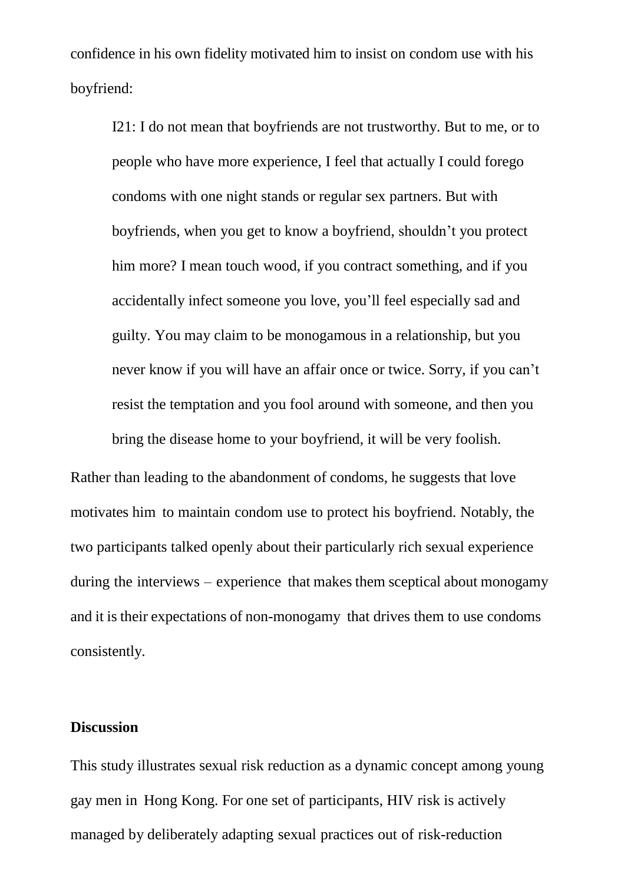confidence in his own fidelity motivated him to insist on condom use with his boyfriend:

I21: I do not mean that boyfriends are not trustworthy. But to me, or to people who have more experience, I feel that actually I could forego condoms with one night stands or regular sex partners. But with boyfriends, when you get to know a boyfriend, shouldn't you protect him more? I mean touch wood, if you contract something, and if you accidentally infect someone you love, you'll feel especially sad and guilty. You may claim to be monogamous in a relationship, but you never know if you will have an affair once or twice. Sorry, if you can't resist the temptation and you fool around with someone, and then you bring the disease home to your boyfriend, it will be very foolish.

Rather than leading to the abandonment of condoms, he suggests that love motivates him to maintain condom use to protect his boyfriend. Notably, the two participants talked openly about their particularly rich sexual experience during the interviews – experience that makes them sceptical about monogamy and it is their expectations of non-monogamy that drives them to use condoms consistently.

#### **Discussion**

This study illustrates sexual risk reduction as a dynamic concept among young gay men in Hong Kong. For one set of participants, HIV risk is actively managed by deliberately adapting sexual practices out of risk-reduction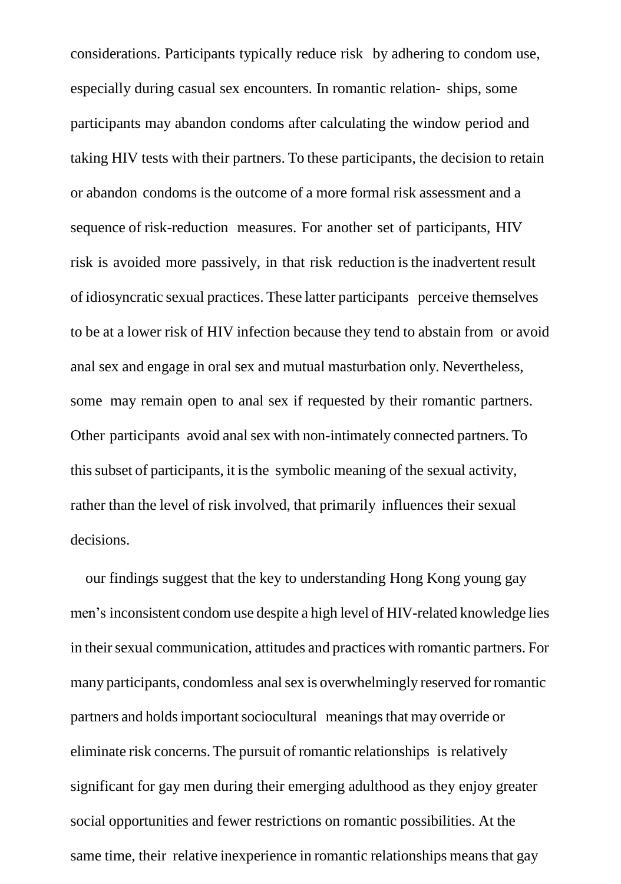considerations. Participants typically reduce risk by adhering to condom use, especially during casual sex encounters. In romantic relation- ships, some participants may abandon condoms after calculating the window period and taking HIV tests with their partners. To these participants, the decision to retain or abandon condoms is the outcome of a more formal risk assessment and a sequence of risk-reduction measures. For another set of participants, HIV risk is avoided more passively, in that risk reduction isthe inadvertent result of idiosyncratic sexual practices. These latter participants perceive themselves to be at a lower risk of HIV infection because they tend to abstain from or avoid anal sex and engage in oral sex and mutual masturbation only. Nevertheless, some may remain open to anal sex if requested by their romantic partners. Other participants avoid anal sex with non-intimately connected partners. To thissubset of participants, it isthe symbolic meaning of the sexual activity, rather than the level of risk involved, that primarily influences their sexual decisions.

our findings suggest that the key to understanding Hong Kong young gay men's inconsistent condom use despite a high level of HIV-related knowledge lies in their sexual communication, attitudes and practices with romantic partners. For many participants, condomless anal sex is overwhelmingly reserved for romantic partners and holds important sociocultural meanings that may override or eliminate risk concerns. The pursuit of romantic relationships is relatively significant for gay men during their emerging adulthood as they enjoy greater social opportunities and fewer restrictions on romantic possibilities. At the same time, their relative inexperience in romantic relationships meansthat gay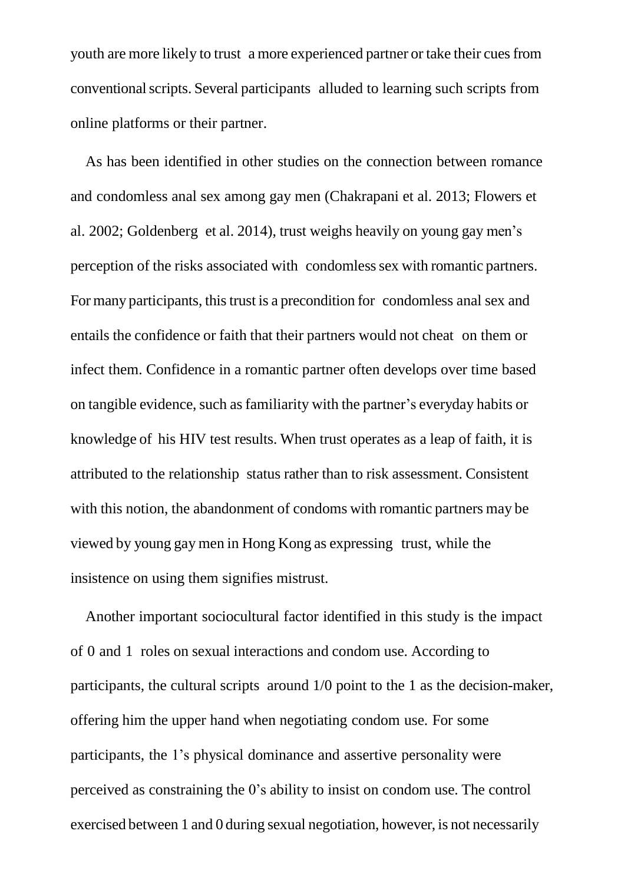youth are more likely to trust a more experienced partner or take their cues from conventionalscripts. Several participants alluded to learning such scripts from online platforms or their partner.

As has been identified in other studies on the connection between romance and condomless anal sex among gay men (Chakrapani et al. 2013; Flowers et al. 2002; Goldenberg et al. 2014), trust weighs heavily on young gay men's perception of the risks associated with condomless sex with romantic partners. For many participants, this trust is a precondition for condomless anal sex and entails the confidence or faith that their partners would not cheat on them or infect them. Confidence in a romantic partner often develops over time based on tangible evidence, such as familiarity with the partner's everyday habits or knowledge of his HIV test results. When trust operates as a leap of faith, it is attributed to the relationship status rather than to risk assessment. Consistent with this notion, the abandonment of condoms with romantic partners may be viewed by young gay men in Hong Kong as expressing trust, while the insistence on using them signifies mistrust.

Another important sociocultural factor identified in this study is the impact of 0 and 1 roles on sexual interactions and condom use. According to participants, the cultural scripts around 1/0 point to the 1 as the decision-maker, offering him the upper hand when negotiating condom use. For some participants, the 1's physical dominance and assertive personality were perceived as constraining the 0's ability to insist on condom use. The control exercised between 1 and 0 during sexual negotiation, however, is not necessarily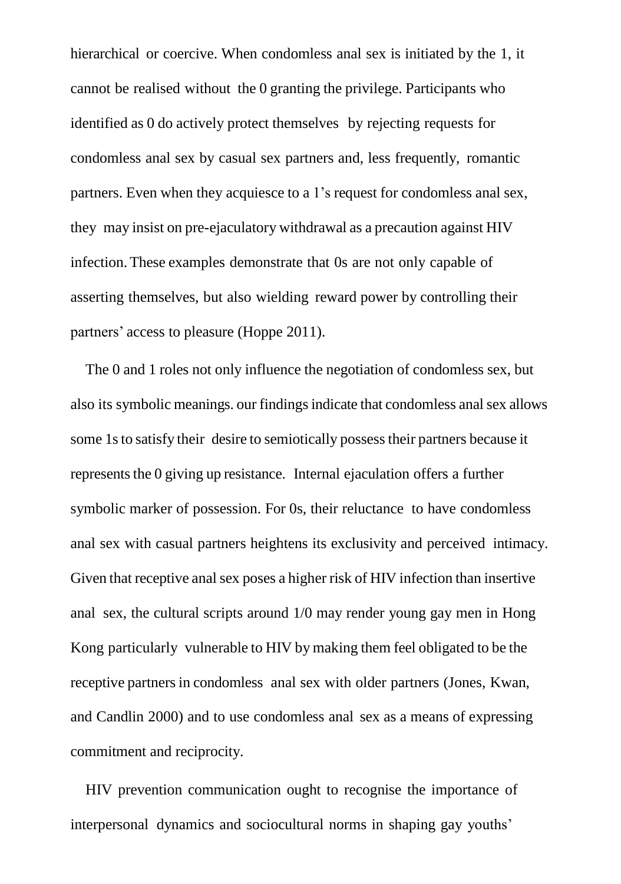hierarchical or coercive. When condomless anal sex is initiated by the 1, it cannot be realised without the 0 granting the privilege. Participants who identified as 0 do actively protect themselves by rejecting requests for condomless anal sex by casual sex partners and, less frequently, romantic partners. Even when they acquiesce to a 1's request for condomless anal sex, they may insist on pre-ejaculatory withdrawal as a precaution against HIV infection. These examples demonstrate that 0s are not only capable of asserting themselves, but also wielding reward power by controlling their partners' access to pleasure (Hoppe 2011).

The 0 and 1 roles not only influence the negotiation of condomless sex, but also its symbolic meanings. our findingsindicate that condomless analsex allows some 1s to satisfy their desire to semiotically possess their partners because it represents the 0 giving up resistance. Internal ejaculation offers a further symbolic marker of possession. For 0s, their reluctance to have condomless anal sex with casual partners heightens its exclusivity and perceived intimacy. Given that receptive anal sex poses a higher risk of HIV infection than insertive anal sex, the cultural scripts around 1/0 may render young gay men in Hong Kong particularly vulnerable to HIV by making them feel obligated to be the receptive partners in condomless anal sex with older partners (Jones, Kwan, and Candlin 2000) and to use condomless anal sex as a means of expressing commitment and reciprocity.

HIV prevention communication ought to recognise the importance of interpersonal dynamics and sociocultural norms in shaping gay youths'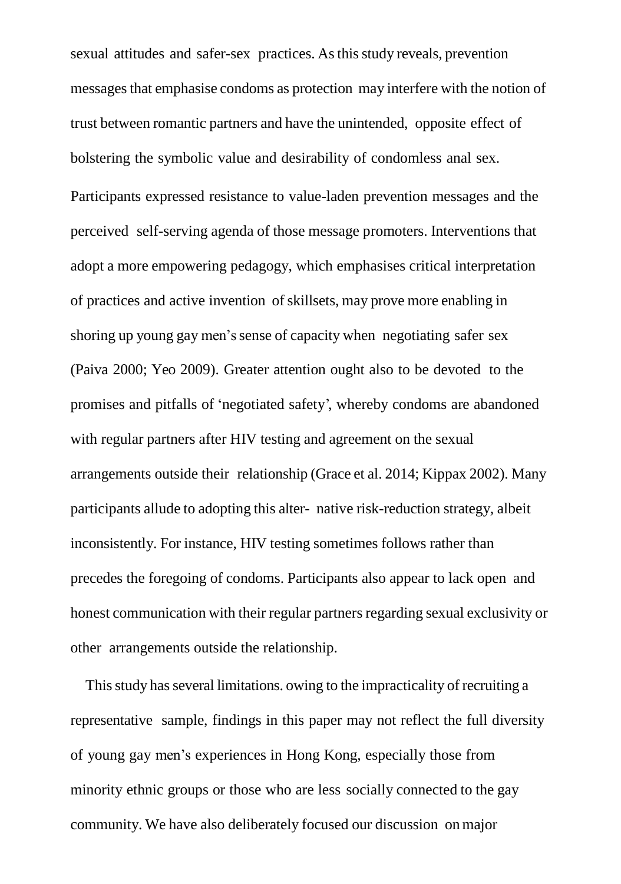sexual attitudes and safer-sex practices. As this study reveals, prevention messagesthat emphasise condoms as protection may interfere with the notion of trust between romantic partners and have the unintended, opposite effect of bolstering the symbolic value and desirability of condomless anal sex. Participants expressed resistance to value-laden prevention messages and the perceived self-serving agenda of those message promoters. Interventions that adopt a more empowering pedagogy, which emphasises critical interpretation of practices and active invention ofskillsets, may prove more enabling in shoring up young gay men's sense of capacity when negotiating safer sex (Paiva 2000; Yeo 2009). Greater attention ought also to be devoted to the promises and pitfalls of 'negotiated safety', whereby condoms are abandoned with regular partners after HIV testing and agreement on the sexual arrangements outside their relationship (Grace et al. 2014; Kippax 2002). Many participants allude to adopting this alter- native risk-reduction strategy, albeit inconsistently. For instance, HIV testing sometimes follows rather than precedes the foregoing of condoms. Participants also appear to lack open and honest communication with their regular partners regarding sexual exclusivity or other arrangements outside the relationship.

This study has several limitations, owing to the impracticality of recruiting a representative sample, findings in this paper may not reflect the full diversity of young gay men's experiences in Hong Kong, especially those from minority ethnic groups or those who are less socially connected to the gay community. We have also deliberately focused our discussion on major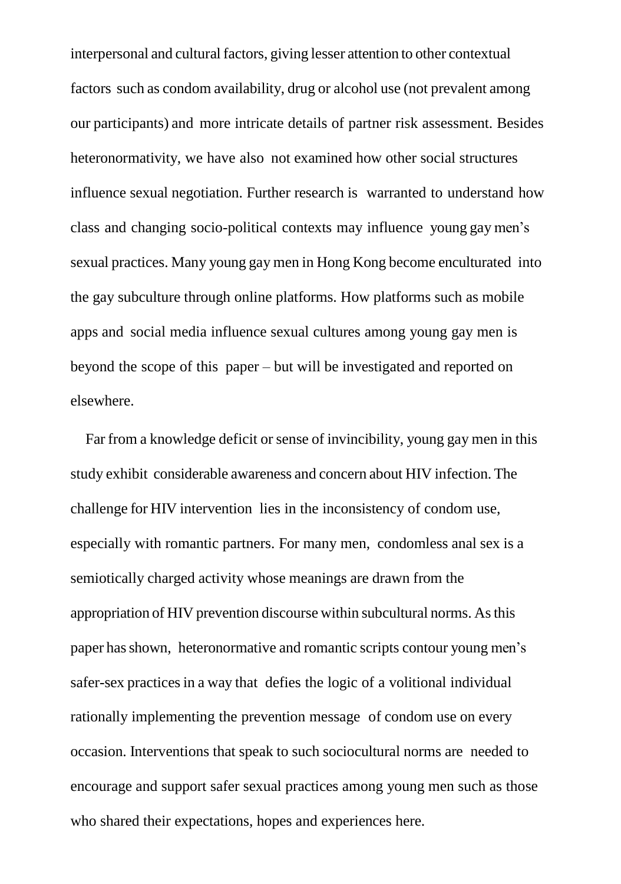interpersonal and cultural factors, giving lesser attention to other contextual factors such as condom availability, drug or alcohol use (not prevalent among our participants) and more intricate details of partner risk assessment. Besides heteronormativity, we have also not examined how other social structures influence sexual negotiation. Further research is warranted to understand how class and changing socio-political contexts may influence young gay men's sexual practices. Many young gay men in Hong Kong become enculturated into the gay subculture through online platforms. How platforms such as mobile apps and social media influence sexual cultures among young gay men is beyond the scope of this paper – but will be investigated and reported on elsewhere.

Far from a knowledge deficit or sense of invincibility, young gay men in this study exhibit considerable awareness and concern about HIV infection. The challenge for HIV intervention lies in the inconsistency of condom use, especially with romantic partners. For many men, condomless anal sex is a semiotically charged activity whose meanings are drawn from the appropriation of HIV prevention discourse within subcultural norms. Asthis paper hasshown, heteronormative and romantic scripts contour young men's safer-sex practices in a way that defies the logic of a volitional individual rationally implementing the prevention message of condom use on every occasion. Interventions that speak to such sociocultural norms are needed to encourage and support safer sexual practices among young men such as those who shared their expectations, hopes and experiences here.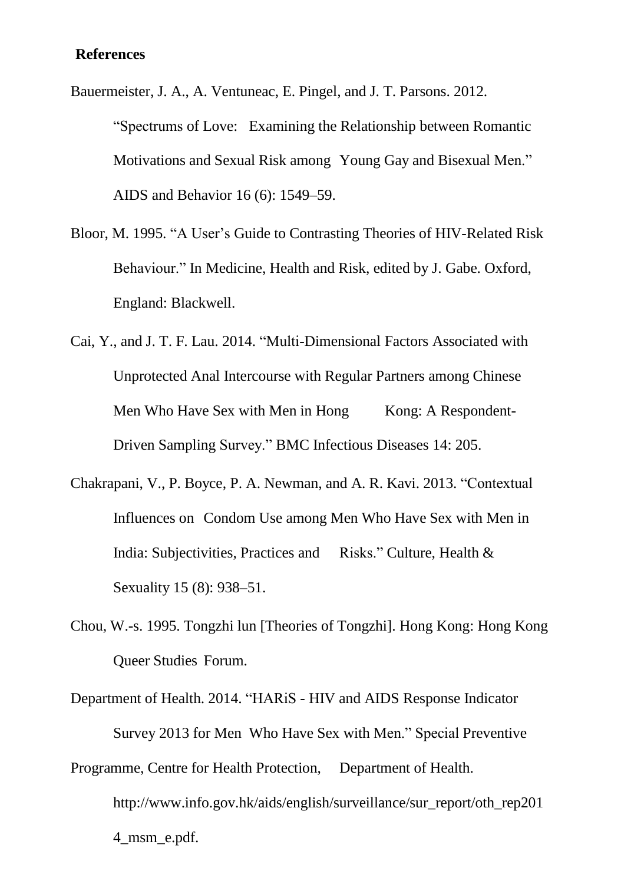### **References**

Bauermeister, J. A., A. Ventuneac, E. Pingel, and J. T. Parsons. 2012. "Spectrums of Love: Examining the Relationship between Romantic Motivations and Sexual Risk among Young Gay and Bisexual Men." AIDS and Behavior 16 (6): 1549–59.

Bloor, M. 1995. "A User's Guide to Contrasting Theories of HIV-Related Risk Behaviour." In Medicine, Health and Risk, edited by J. Gabe. Oxford, England: Blackwell.

Cai, Y., and J. T. F. Lau. 2014. "Multi-Dimensional Factors Associated with Unprotected Anal Intercourse with Regular Partners among Chinese Men Who Have Sex with Men in Hong Kong: A Respondent-Driven Sampling Survey." BMC Infectious Diseases 14: 205.

- Chakrapani, V., P. Boyce, P. A. Newman, and A. R. Kavi. 2013. "Contextual Influences on Condom Use among Men Who Have Sex with Men in India: Subjectivities, Practices and Risks." Culture, Health & Sexuality 15 (8): 938–51.
- Chou, W.-s. 1995. Tongzhi lun [Theories of Tongzhi]. Hong Kong: Hong Kong Queer Studies Forum.
- Department of Health. 2014. "HARiS HIV and AIDS Response Indicator Survey 2013 for Men Who Have Sex with Men." Special Preventive

Programme, Centre for Health Protection, Department of Health. http://www.info.gov.hk/aids/english/surveillance/sur\_report/oth\_rep201 4\_msm\_e.pdf.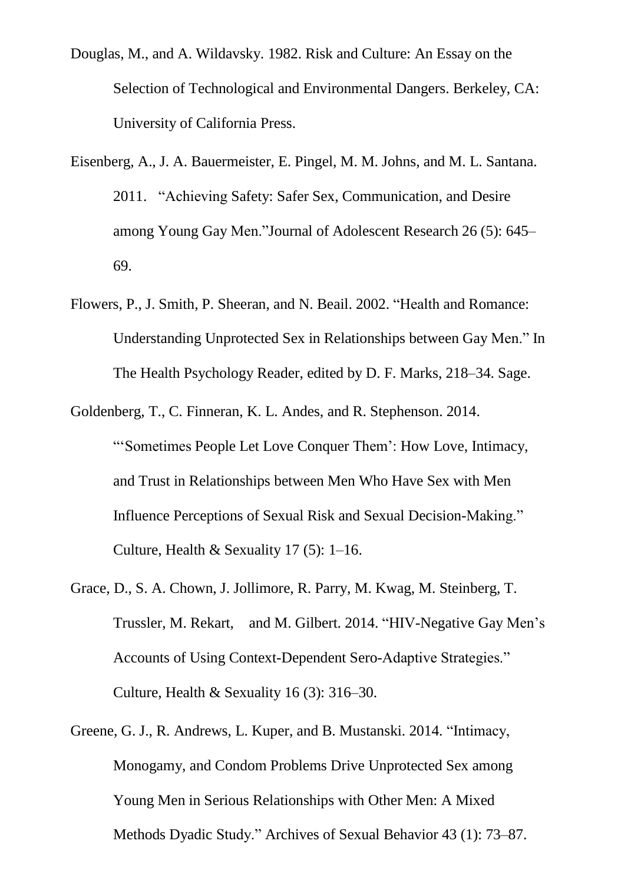- Douglas, M., and A. Wildavsky. 1982. Risk and Culture: An Essay on the Selection of Technological and Environmental Dangers. Berkeley, CA: University of California Press.
- Eisenberg, A., J. A. Bauermeister, E. Pingel, M. M. Johns, and M. L. Santana. 2011. "Achieving Safety: Safer Sex, Communication, and Desire among Young Gay Men."Journal of Adolescent Research 26 (5): 645– 69.
- Flowers, P., J. Smith, P. Sheeran, and N. Beail. 2002. "Health and Romance: Understanding Unprotected Sex in Relationships between Gay Men." In The Health Psychology Reader, edited by D. F. Marks, 218–34. Sage.
- Goldenberg, T., C. Finneran, K. L. Andes, and R. Stephenson. 2014. "'Sometimes People Let Love Conquer Them': How Love, Intimacy, and Trust in Relationships between Men Who Have Sex with Men Influence Perceptions of Sexual Risk and Sexual Decision-Making." Culture, Health & Sexuality 17 (5):  $1-16$ .
- Grace, D., S. A. Chown, J. Jollimore, R. Parry, M. Kwag, M. Steinberg, T. Trussler, M. Rekart, and M. Gilbert. 2014. "HIV-Negative Gay Men's Accounts of Using Context-Dependent Sero-Adaptive Strategies." Culture, Health & Sexuality 16 (3): 316–30.
- Greene, G. J., R. Andrews, L. Kuper, and B. Mustanski. 2014. "Intimacy, Monogamy, and Condom Problems Drive Unprotected Sex among Young Men in Serious Relationships with Other Men: A Mixed Methods Dyadic Study." Archives of Sexual Behavior 43 (1): 73–87.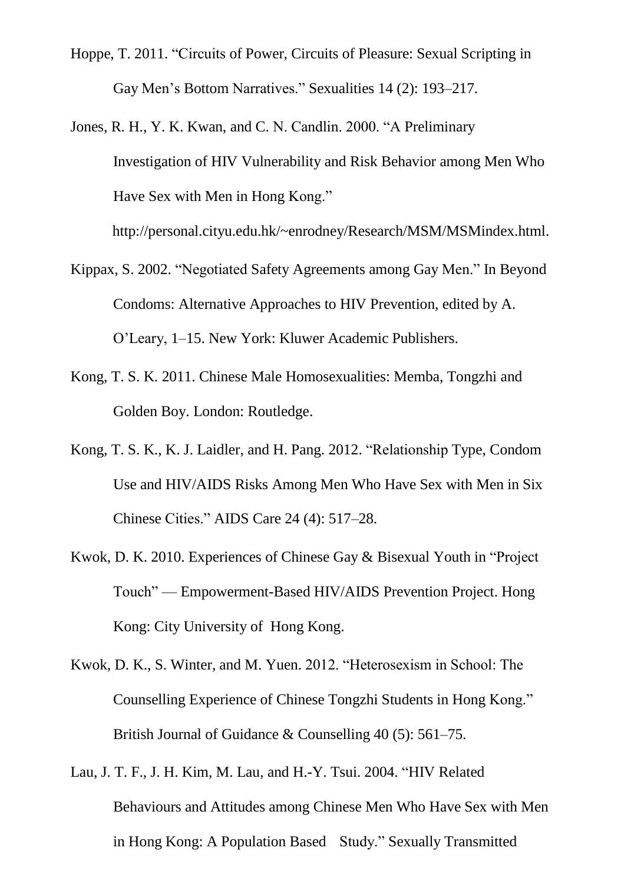- Hoppe, T. 2011. "Circuits of Power, Circuits of Pleasure: Sexual Scripting in Gay Men's Bottom Narratives." Sexualities 14 (2): 193–217.
- Jones, R. H., Y. K. Kwan, and C. N. Candlin. 2000. "A Preliminary Investigation of HIV Vulnerability and Risk Behavior among Men Who Have Sex with Men in Hong Kong."

http://personal.cityu.edu.hk/~enrodney/Research/MSM/MSMindex.html.

- Kippax, S. 2002. "Negotiated Safety Agreements among Gay Men." In Beyond Condoms: Alternative Approaches to HIV Prevention, edited by A. O'Leary, 1–15. New York: Kluwer Academic Publishers.
- Kong, T. S. K. 2011. Chinese Male Homosexualities: Memba, Tongzhi and Golden Boy. London: Routledge.
- Kong, T. S. K., K. J. Laidler, and H. Pang. 2012. "Relationship Type, Condom Use and HIV/AIDS Risks Among Men Who Have Sex with Men in Six Chinese Cities." AIDS Care 24 (4): 517–28.
- Kwok, D. K. 2010. Experiences of Chinese Gay & Bisexual Youth in "Project Touch" — Empowerment-Based HIV/AIDS Prevention Project. Hong Kong: City University of Hong Kong.
- Kwok, D. K., S. Winter, and M. Yuen. 2012. "Heterosexism in School: The Counselling Experience of Chinese Tongzhi Students in Hong Kong." British Journal of Guidance & Counselling 40 (5): 561–75.
- Lau, J. T. F., J. H. Kim, M. Lau, and H.-Y. Tsui. 2004. "HIV Related Behaviours and Attitudes among Chinese Men Who Have Sex with Men in Hong Kong: A Population Based Study." Sexually Transmitted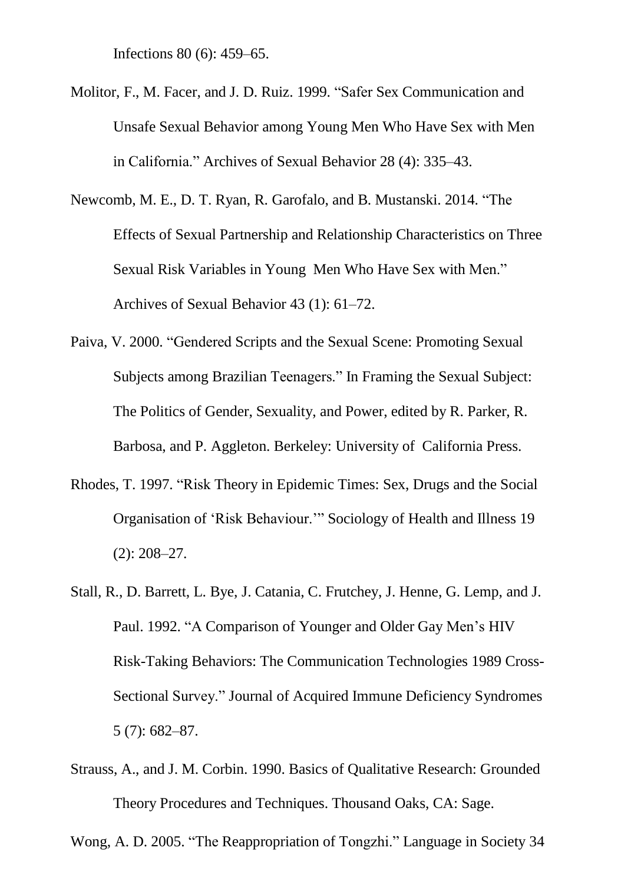Infections 80 (6): 459–65.

- Molitor, F., M. Facer, and J. D. Ruiz. 1999. "Safer Sex Communication and Unsafe Sexual Behavior among Young Men Who Have Sex with Men in California." Archives of Sexual Behavior 28 (4): 335–43.
- Newcomb, M. E., D. T. Ryan, R. Garofalo, and B. Mustanski. 2014. "The Effects of Sexual Partnership and Relationship Characteristics on Three Sexual Risk Variables in Young Men Who Have Sex with Men." Archives of Sexual Behavior 43 (1): 61–72.
- Paiva, V. 2000. "Gendered Scripts and the Sexual Scene: Promoting Sexual Subjects among Brazilian Teenagers." In Framing the Sexual Subject: The Politics of Gender, Sexuality, and Power, edited by R. Parker, R. Barbosa, and P. Aggleton. Berkeley: University of California Press.
- Rhodes, T. 1997. "Risk Theory in Epidemic Times: Sex, Drugs and the Social Organisation of 'Risk Behaviour.'" Sociology of Health and Illness 19 (2): 208–27.
- Stall, R., D. Barrett, L. Bye, J. Catania, C. Frutchey, J. Henne, G. Lemp, and J. Paul. 1992. "A Comparison of Younger and Older Gay Men's HIV Risk-Taking Behaviors: The Communication Technologies 1989 Cross-Sectional Survey." Journal of Acquired Immune Deficiency Syndromes 5 (7): 682–87.
- Strauss, A., and J. M. Corbin. 1990. Basics of Qualitative Research: Grounded Theory Procedures and Techniques. Thousand Oaks, CA: Sage.

Wong, A. D. 2005. "The Reappropriation of Tongzhi." Language in Society 34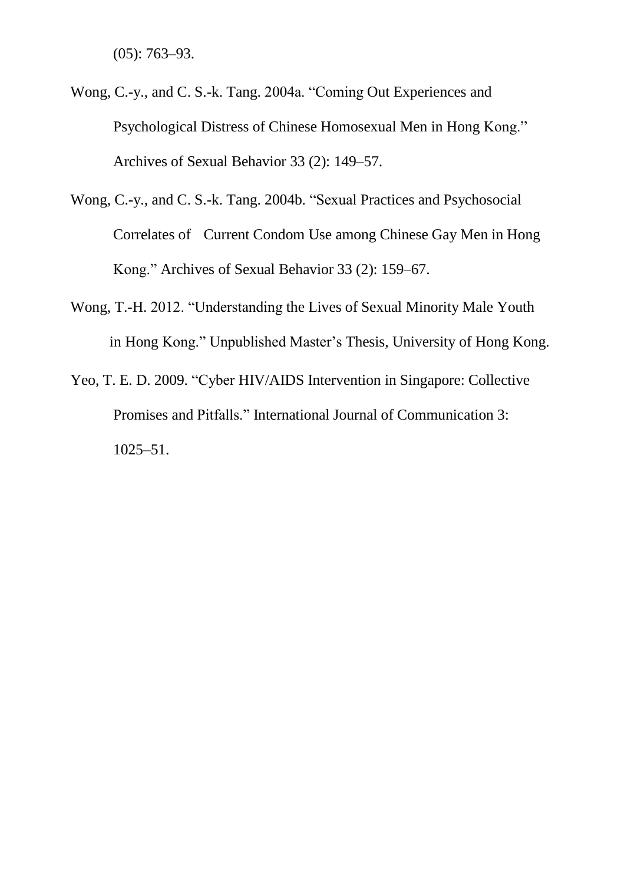(05): 763–93.

- Wong, C.-y., and C. S.-k. Tang. 2004a. "Coming Out Experiences and Psychological Distress of Chinese Homosexual Men in Hong Kong." Archives of Sexual Behavior 33 (2): 149–57.
- Wong, C.-y., and C. S.-k. Tang. 2004b. "Sexual Practices and Psychosocial Correlates of Current Condom Use among Chinese Gay Men in Hong Kong." Archives of Sexual Behavior 33 (2): 159–67.
- Wong, T.-H. 2012. "Understanding the Lives of Sexual Minority Male Youth in Hong Kong." Unpublished Master's Thesis, University of Hong Kong.
- Yeo, T. E. D. 2009. "Cyber HIV/AIDS Intervention in Singapore: Collective Promises and Pitfalls." International Journal of Communication 3: 1025–51.